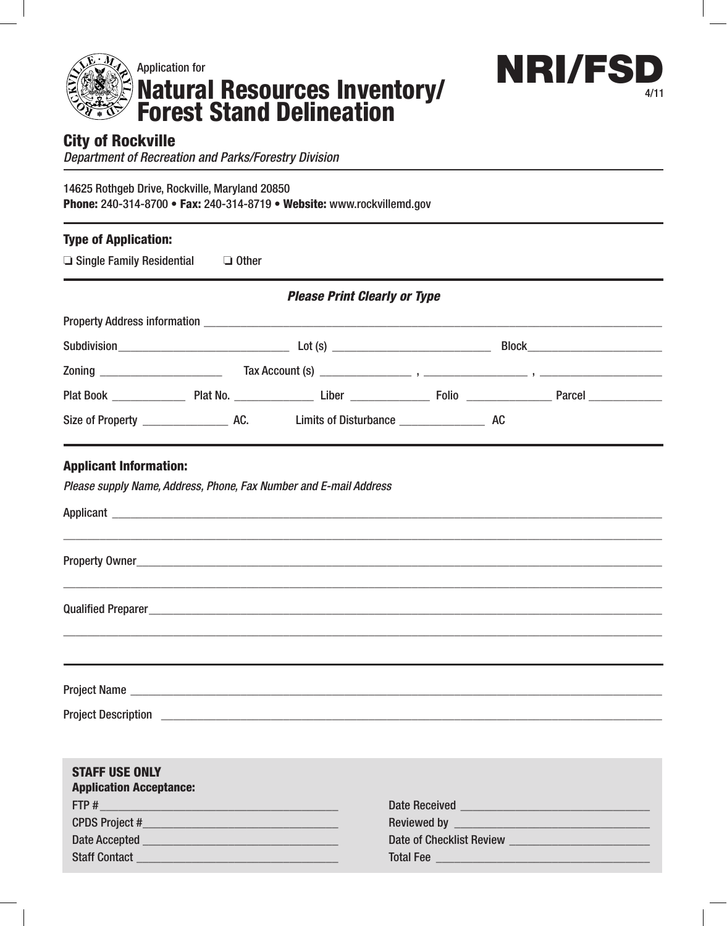



## City of Rockville

*Department of Recreation and Parks/Forestry Division*

14625 Rothgeb Drive, Rockville, Maryland 20850 Phone: 240-314-8700 • Fax: 240-314-8719 • Website: www.rockvillemd.gov

| $\Box$ Single Family Residential $\Box$ Other | <b>Type of Application:</b> |                                                                   |  |  |
|-----------------------------------------------|-----------------------------|-------------------------------------------------------------------|--|--|
|                                               |                             | <b>Please Print Clearly or Type</b>                               |  |  |
|                                               |                             |                                                                   |  |  |
|                                               |                             |                                                                   |  |  |
|                                               |                             |                                                                   |  |  |
|                                               |                             |                                                                   |  |  |
|                                               |                             |                                                                   |  |  |
| <b>Applicant Information:</b>                 |                             | Please supply Name, Address, Phone, Fax Number and E-mail Address |  |  |
|                                               |                             |                                                                   |  |  |
|                                               |                             |                                                                   |  |  |
|                                               |                             |                                                                   |  |  |
|                                               |                             |                                                                   |  |  |

| <b>STAFF USE ONLY</b><br><b>Application Acceptance:</b>                                                                                                                                                                            |                                                                                                                                                                                                                                |
|------------------------------------------------------------------------------------------------------------------------------------------------------------------------------------------------------------------------------------|--------------------------------------------------------------------------------------------------------------------------------------------------------------------------------------------------------------------------------|
| $FTP # \nightharpoonup$                                                                                                                                                                                                            | Date Received <b>Manual Accord Property Accord Property</b>                                                                                                                                                                    |
|                                                                                                                                                                                                                                    |                                                                                                                                                                                                                                |
| Date Accepted <b>Exercise Services Contract Contract Contract Contract Contract Contract Contract Contract Contract Contract Contract Contract Contract Contract Contract Contract Contract Contract Contract Contract Contrac</b> | Date of Checklist Review and the control of the control of the control of the control of the control of the control of the control of the control of the control of the control of the control of the control of the control o |
|                                                                                                                                                                                                                                    | Total Fee                                                                                                                                                                                                                      |